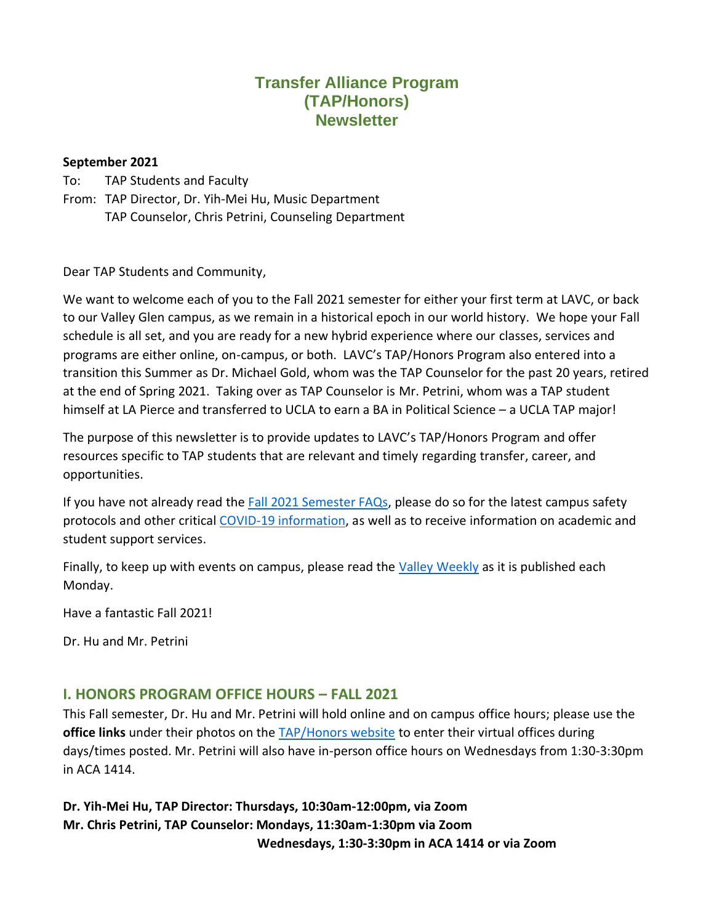# **Transfer Alliance Program (TAP/Honors) Newsletter**

#### **September 2021**

To: TAP Students and Faculty

From: TAP Director, Dr. Yih-Mei Hu, Music Department TAP Counselor, Chris Petrini, Counseling Department

Dear TAP Students and Community,

We want to welcome each of you to the Fall 2021 semester for either your first term at LAVC, or back to our Valley Glen campus, as we remain in a historical epoch in our world history. We hope your Fall schedule is all set, and you are ready for a new hybrid experience where our classes, services and programs are either online, on-campus, or both. LAVC's TAP/Honors Program also entered into a transition this Summer as Dr. Michael Gold, whom was the TAP Counselor for the past 20 years, retired at the end of Spring 2021. Taking over as TAP Counselor is Mr. Petrini, whom was a TAP student himself at LA Pierce and transferred to UCLA to earn a BA in Political Science – a UCLA TAP major!

The purpose of this newsletter is to provide updates to LAVC's TAP/Honors Program and offer resources specific to TAP students that are relevant and timely regarding transfer, career, and opportunities.

If you have not already read th[e Fall 2021 Semester FAQs,](https://lavc.edu/campusnews/index/News-Blog/August-2021/Return-to-LAVC-FAQ.aspx) please do so for the latest campus safety protocols and other critical [COVID-19 information,](https://www.lavc.edu/Coronavirus/Student-Updates.aspx) as well as to receive information on academic and student support services.

Finally, to keep up with events on campus, please read the [Valley Weekly](https://www.lavc.edu/PR/Valley-Weekly.aspx) as it is published each Monday.

Have a fantastic Fall 2021!

Dr. Hu and Mr. Petrini

#### **I. HONORS PROGRAM OFFICE HOURS – FALL 2021**

This Fall semester, Dr. Hu and Mr. Petrini will hold online and on campus office hours; please use the **office links** under their photos on the [TAP/Honors website](https://www.lavc.edu/tap/index.aspx) to enter their virtual offices during days/times posted. Mr. Petrini will also have in-person office hours on Wednesdays from 1:30-3:30pm in ACA 1414.

**Dr. Yih-Mei Hu, TAP Director: Thursdays, 10:30am-12:00pm, via Zoom Mr. Chris Petrini, TAP Counselor: Mondays, 11:30am-1:30pm via Zoom Wednesdays, 1:30-3:30pm in ACA 1414 or via Zoom**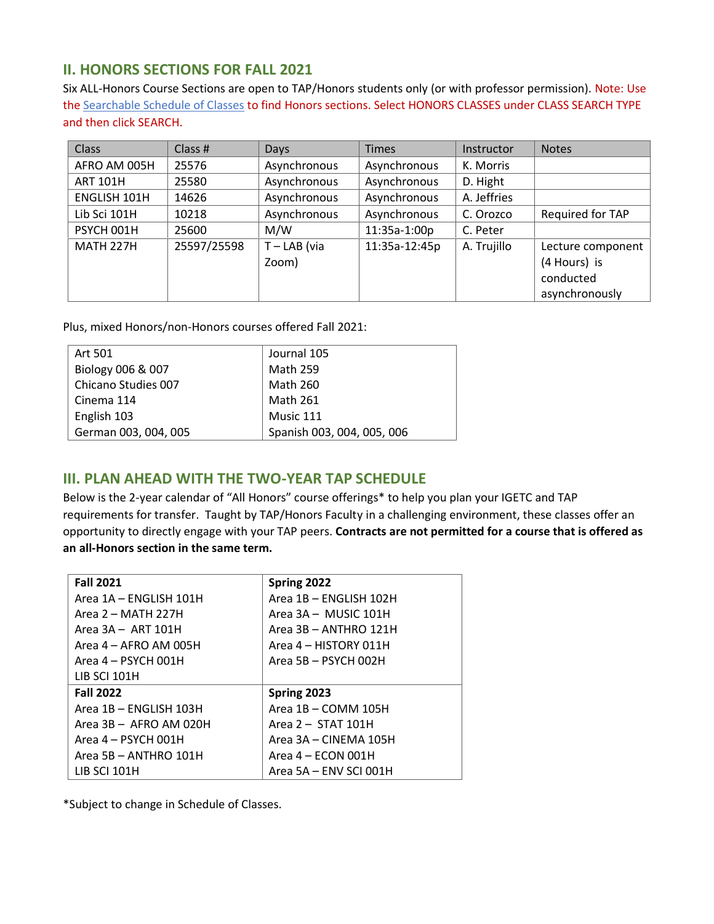### **II. HONORS SECTIONS FOR FALL 2021**

Six ALL-Honors Course Sections are open to TAP/Honors students only (or with professor permission). Note: Use th[e Searchable Schedule of Classes](https://mycollege-guest.laccd.edu/psc/classsearchguest/EMPLOYEE/HRMS/c/COMMUNITY_ACCESS.CLASS_SEARCH.GBL?Campus=LAVC&strm=2218) to find Honors sections. Select HONORS CLASSES under CLASS SEARCH TYPE and then click SEARCH.

| <b>Class</b>     | Class $#$   | Days                    | <b>Times</b>  | Instructor  | <b>Notes</b>                                                     |
|------------------|-------------|-------------------------|---------------|-------------|------------------------------------------------------------------|
| AFRO AM 005H     | 25576       | Asynchronous            | Asynchronous  | K. Morris   |                                                                  |
| <b>ART 101H</b>  | 25580       | Asynchronous            | Asynchronous  | D. Hight    |                                                                  |
| ENGLISH 101H     | 14626       | Asynchronous            | Asynchronous  | A. Jeffries |                                                                  |
| Lib Sci 101H     | 10218       | Asynchronous            | Asynchronous  | C. Orozco   | Required for TAP                                                 |
| PSYCH 001H       | 25600       | M/W                     | 11:35a-1:00p  | C. Peter    |                                                                  |
| <b>MATH 227H</b> | 25597/25598 | $T - LAB$ (via<br>Zoom) | 11:35a-12:45p | A. Trujillo | Lecture component<br>(4 Hours) is<br>conducted<br>asynchronously |

Plus, mixed Honors/non-Honors courses offered Fall 2021:

| Art 501              | Journal 105                |  |
|----------------------|----------------------------|--|
| Biology 006 & 007    | <b>Math 259</b>            |  |
| Chicano Studies 007  | <b>Math 260</b>            |  |
| Cinema 114           | <b>Math 261</b>            |  |
| English 103          | Music 111                  |  |
| German 003, 004, 005 | Spanish 003, 004, 005, 006 |  |

#### **III. PLAN AHEAD WITH THE TWO-YEAR TAP SCHEDULE**

Below is the 2-year calendar of "All Honors" course offerings\* to help you plan your IGETC and TAP requirements for transfer. Taught by TAP/Honors Faculty in a challenging environment, these classes offer an opportunity to directly engage with your TAP peers. **Contracts are not permitted for a course that is offered as an all-Honors section in the same term.** 

| <b>Fall 2021</b>         | Spring 2022            |
|--------------------------|------------------------|
| Area 1A - ENGLISH 101H   | Area 1B - ENGLISH 102H |
| Area 2 – MATH 227H       | Area 3A - MUSIC 101H   |
| Area $3A - ART 101H$     | Area 3B - ANTHRO 121H  |
| Area 4 - AFRO AM 005H    | Area 4 - HISTORY 011H  |
| Area 4 - PSYCH 001H      | Area 5B - PSYCH 002H   |
| LIB SCI 101H             |                        |
| <b>Fall 2022</b>         | Spring 2023            |
| Area 1B - ENGLISH 103H   | Area 1B - COMM 105H    |
| Area $3B - AFRO AM O2OH$ | Area 2 - STAT 101H     |
| Area 4 - PSYCH 001H      | Area 3A - CINEMA 105H  |
| Area 5B - ANTHRO 101H    | Area 4 – ECON 001H     |
| LIB SCI 101H             | Area 5A - ENV SCI 001H |

\*Subject to change in Schedule of Classes.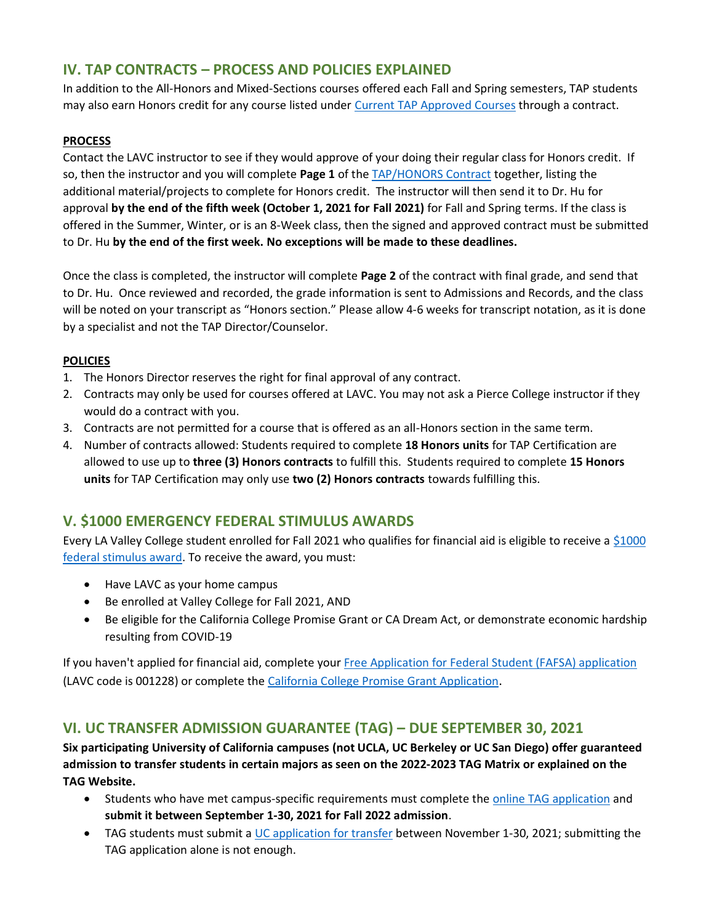## **IV. TAP CONTRACTS – PROCESS AND POLICIES EXPLAINED**

In addition to the All-Honors and Mixed-Sections courses offered each Fall and Spring semesters, TAP students may also earn Honors credit for any course listed under [Current TAP Approved Courses](https://www.lavc.edu/tap/tap-curriculum.aspx) through a contract.

#### **PROCESS**

Contact the LAVC instructor to see if they would approve of your doing their regular class for Honors credit. If so, then the instructor and you will complete **Page 1** of the [TAP/HONORS Contract](https://www.lavc.edu/tap/document-library/docs/TAP-Contract-Fillable-6-21.pdf) together, listing the additional material/projects to complete for Honors credit. The instructor will then send it to Dr. Hu for approval **by the end of the fifth week (October 1, 2021 for Fall 2021)** for Fall and Spring terms. If the class is offered in the Summer, Winter, or is an 8-Week class, then the signed and approved contract must be submitted to Dr. Hu **by the end of the first week. No exceptions will be made to these deadlines.**

Once the class is completed, the instructor will complete **Page 2** of the contract with final grade, and send that to Dr. Hu. Once reviewed and recorded, the grade information is sent to Admissions and Records, and the class will be noted on your transcript as "Honors section." Please allow 4-6 weeks for transcript notation, as it is done by a specialist and not the TAP Director/Counselor.

#### **POLICIES**

- 1. The Honors Director reserves the right for final approval of any contract.
- 2. Contracts may only be used for courses offered at LAVC. You may not ask a Pierce College instructor if they would do a contract with you.
- 3. Contracts are not permitted for a course that is offered as an all-Honors section in the same term.
- 4. Number of contracts allowed: Students required to complete **18 Honors units** for TAP Certification are allowed to use up to **three (3) Honors contracts** to fulfill this. Students required to complete **15 Honors units** for TAP Certification may only use **two (2) Honors contracts** towards fulfilling this.

## **V. \$1000 EMERGENCY FEDERAL STIMULUS AWARDS**

Every LA Valley College student enrolled for Fall 2021 who qualifies for financial aid is eligible to receive a [\\$1000](https://www.lavc.edu/Coronavirus/Student-Updates.aspx#awards)  [federal stimulus award.](https://www.lavc.edu/Coronavirus/Student-Updates.aspx#awards) To receive the award, you must:

- Have LAVC as your home campus
- Be enrolled at Valley College for Fall 2021, AND
- Be eligible for the California College Promise Grant or CA Dream Act, or demonstrate economic hardship resulting from COVID-19

If you haven't applied for financial aid, complete your [Free Application for Federal Student \(FAFSA\) application](https://fafsa.ed.gov/) (LAVC code is 001228) or complete the [California College Promise Grant Application](https://www.lavc.edu/financialaid/library/docs/2021-22-CCPG-Application_ENGLISH-(3).pdf).

## **VI. UC TRANSFER ADMISSION GUARANTEE (TAG) – DUE SEPTEMBER 30, 2021**

**Six participating University of California campuses (not UCLA, UC Berkeley or UC San Diego) offer guaranteed admission to transfer students in certain majors as seen on th[e 2022-2023 TAG Matrix](https://admission.universityofcalifornia.edu/counselors/files/tag-matrix.pdf) or explained on the [TAG Website.](https://admission.universityofcalifornia.edu/admission-requirements/transfer-requirements/uc-transfer-programs/transfer-admission-guarantee-tag.html)**

- Students who have met campus-specific requirements must complete th[e online TAG application](https://uctap.universityofcalifornia.edu/students/index.cfm) and **submit it between September 1-30, 2021 for Fall 2022 admission**.
- TAG students must submit a [UC application](https://admission.universityofcalifornia.edu/how-to-apply/applying-as-a-transfer/) for transfer between November 1-30, 2021; submitting the TAG application alone is not enough.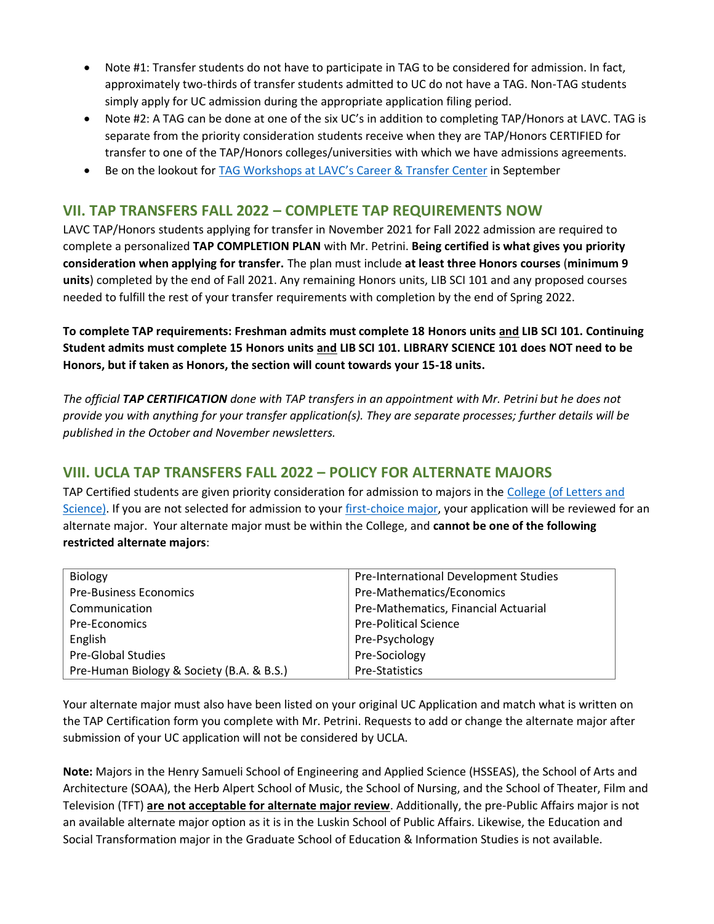- Note #1: Transfer students do not have to participate in TAG to be considered for admission. In fact, approximately two-thirds of transfer students admitted to UC do not have a TAG. Non-TAG students simply apply for UC admission during the appropriate application filing period.
- Note #2: A TAG can be done at one of the six UC's in addition to completing TAP/Honors at LAVC. TAG is separate from the priority consideration students receive when they are TAP/Honors CERTIFIED for transfer to one of the TAP/Honors colleges/universities with which we have admissions agreements.
- Be on the lookout for TAG Workshops at LAVC's [Career & Transfer Center](https://www.lavc.edu/transfer/index.aspx) in September

### **VII. TAP TRANSFERS FALL 2022 – COMPLETE TAP REQUIREMENTS NOW**

LAVC TAP/Honors students applying for transfer in November 2021 for Fall 2022 admission are required to complete a personalized **TAP COMPLETION PLAN** with Mr. Petrini. **Being certified is what gives you priority consideration when applying for transfer.** The plan must include **at least three Honors courses** (**minimum 9 units**) completed by the end of Fall 2021. Any remaining Honors units, LIB SCI 101 and any proposed courses needed to fulfill the rest of your transfer requirements with completion by the end of Spring 2022.

**To complete TAP requirements: Freshman admits must complete 18 Honors units and LIB SCI 101. Continuing Student admits must complete 15 Honors units and LIB SCI 101. LIBRARY SCIENCE 101 does NOT need to be Honors, but if taken as Honors, the section will count towards your 15-18 units.** 

*The official TAP CERTIFICATION done with TAP transfers in an appointment with Mr. Petrini but he does not provide you with anything for your transfer application(s). They are separate processes; further details will be published in the October and November newsletters.*

## **VIII. UCLA TAP TRANSFERS FALL 2022 – POLICY FOR ALTERNATE MAJORS**

TAP Certified students are given priority consideration for admission to majors in the [College \(of Letters and](https://www.college.ucla.edu/)  [Science\).](https://www.college.ucla.edu/) If you are not selected for admission to your [first-choice major,](https://admission.ucla.edu/apply/transfer/deciding-on-major/major-preparation-the-college) your application will be reviewed for an alternate major. Your alternate major must be within the College, and **cannot be one of the following restricted alternate majors**:

| Biology                                   | Pre-International Development Studies |  |
|-------------------------------------------|---------------------------------------|--|
| <b>Pre-Business Economics</b>             | Pre-Mathematics/Economics             |  |
| Communication                             | Pre-Mathematics, Financial Actuarial  |  |
| <b>Pre-Economics</b>                      | <b>Pre-Political Science</b>          |  |
| English                                   | Pre-Psychology                        |  |
| <b>Pre-Global Studies</b>                 | Pre-Sociology                         |  |
| Pre-Human Biology & Society (B.A. & B.S.) | Pre-Statistics                        |  |

Your alternate major must also have been listed on your original UC Application and match what is written on the TAP Certification form you complete with Mr. Petrini. Requests to add or change the alternate major after submission of your UC application will not be considered by UCLA.

**Note:** Majors in the Henry Samueli School of Engineering and Applied Science (HSSEAS), the School of Arts and Architecture (SOAA), the Herb Alpert School of Music, the School of Nursing, and the School of Theater, Film and Television (TFT) **are not acceptable for alternate major review**. Additionally, the pre-Public Affairs major is not an available alternate major option as it is in the Luskin School of Public Affairs. Likewise, the Education and Social Transformation major in the Graduate School of Education & Information Studies is not available.